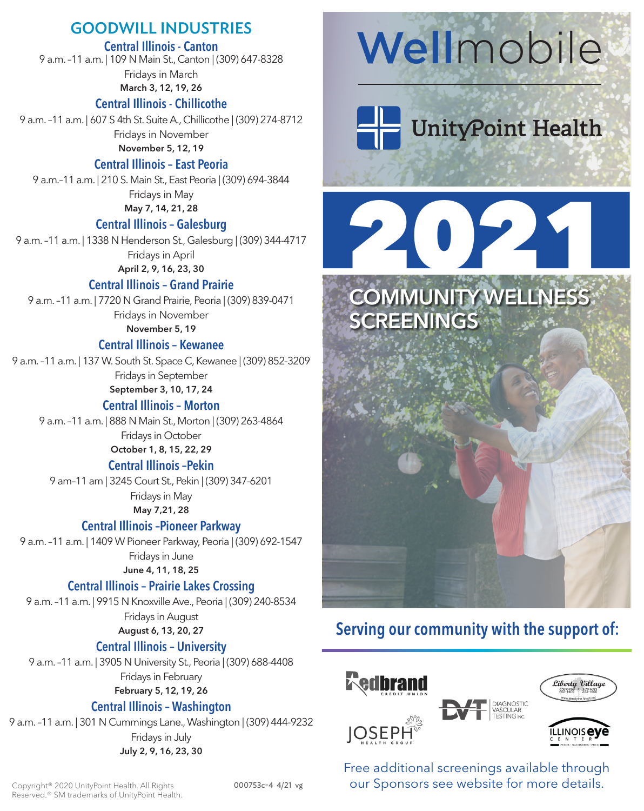# GOODWILL INDUSTRIES

# Central Illinois - Canton

9 a.m. –11 a.m. | 109 N Main St., Canton | (309) 647-8328 Fridays in March

March 3, 12, 19, 26

# Central Illinois - Chillicothe

9 a.m. –11 a.m. | 607 S 4th St. Suite A., Chillicothe | (309) 274-8712 Fridays in November

November 5, 12, 19

# Central Illinois – East Peoria

9 a.m.–11 a.m. | 210 S. Main St., East Peoria | (309) 694-3844 Fridays in May May 7, 14, 21, 28

### Central Illinois – Galesburg

9 a.m. –11 a.m. | 1338 N Henderson St., Galesburg | (309) 344-4717 Fridays in April April 2, 9, 16, 23, 30

# Central Illinois – Grand Prairie

9 a.m. –11 a.m. | 7720 N Grand Prairie, Peoria | (309) 839-0471 Fridays in November November 5, 19

## Central Illinois – Kewanee

9 a.m. –11 a.m. | 137 W. South St. Space C, Kewanee | (309) 852-3209 Fridays in September September 3, 10, 17, 24

# Central Illinois – Morton

9 a.m. –11 a.m. | 888 N Main St., Morton | (309) 263-4864 Fridays in October October 1, 8, 15, 22, 29

### Central Illinois –Pekin

9 am–11 am | 3245 Court St., Pekin | (309) 347-6201 Fridays in May May 7,21, 28

### Central Illinois –Pioneer Parkway

9 a.m. –11 a.m. | 1409 W Pioneer Parkway, Peoria | (309) 692-1547 Fridays in June June 4, 11, 18, 25

# Central Illinois – Prairie Lakes Crossing

9 a.m. –11 a.m. | 9915 N Knoxville Ave., Peoria | (309) 240-8534 Fridays in August August 6, 13, 20, 27

# Central Illinois – University

9 a.m. –11 a.m. | 3905 N University St., Peoria | (309) 688-4408 Fridays in February February 5, 12, 19, 26

# Central Illinois – Washington

9 a.m. –11 a.m. | 301 N Cummings Lane., Washington | (309) 444-9232 Fridays in July July 2, 9, 16, 23, 30

# **Wellmobile**

# UnityPoint Health

# 2021



# Serving our community with the support of:



Free additional screenings available through our Sponsors see website for more details.